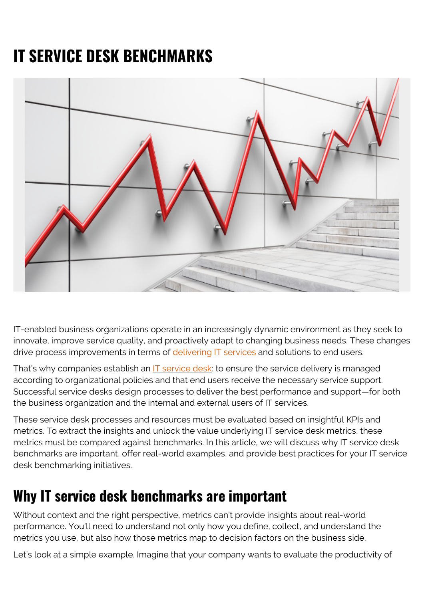# **IT SERVICE DESK BENCHMARKS**



IT-enabled business organizations operate in an increasingly dynamic environment as they seek to innovate, improve service quality, and proactively adapt to changing business needs. These changes drive process improvements in terms of [delivering IT services](https://blogs.bmc.com/blogs/itil-service-delivery/) and solutions to end users.

That's why companies establish an [IT service desk](https://blogs.bmc.com/blogs/help-desk-vs-service-desk-whats-difference/): to ensure the service delivery is managed according to organizational policies and that end users receive the necessary service support. Successful service desks design processes to deliver the best performance and support—for both the business organization and the internal and external users of IT services.

These service desk processes and resources must be evaluated based on insightful KPIs and metrics. To extract the insights and unlock the value underlying IT service desk metrics, these metrics must be compared against benchmarks. In this article, we will discuss why IT service desk benchmarks are important, offer real-world examples, and provide best practices for your IT service desk benchmarking initiatives.

### **Why IT service desk benchmarks are important**

Without context and the right perspective, metrics can't provide insights about real-world performance. You'll need to understand not only how you define, collect, and understand the metrics you use, but also how those metrics map to decision factors on the business side.

Let's look at a simple example. Imagine that your company wants to evaluate the productivity of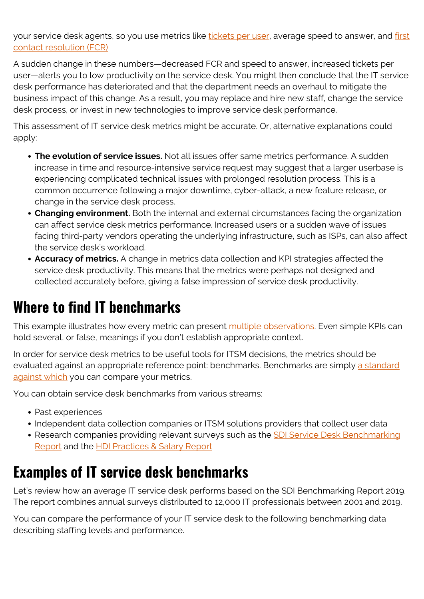your service desk agents, so you use metrics like [tickets per user](https://blogs.bmc.com/blogs/tickets-per-user-service-desk-metric/), average speed to answer, and [first](https://blogs.bmc.com/blogs/first-contact-resolution-for-improved-customer-satisfaction/) [contact resolution \(FCR\)](https://blogs.bmc.com/blogs/first-contact-resolution-for-improved-customer-satisfaction/)

A sudden change in these numbers—decreased FCR and speed to answer, increased tickets per user—alerts you to low productivity on the service desk. You might then conclude that the IT service desk performance has deteriorated and that the department needs an overhaul to mitigate the business impact of this change. As a result, you may replace and hire new staff, change the service desk process, or invest in new technologies to improve service desk performance.

This assessment of IT service desk metrics might be accurate. Or, alternative explanations could apply:

- **The evolution of service issues.** Not all issues offer same metrics performance. A sudden increase in time and resource-intensive service request may suggest that a larger userbase is experiencing complicated technical issues with prolonged resolution process. This is a common occurrence following a major downtime, cyber-attack, a new feature release, or change in the service desk process.
- **Changing environment.** Both the internal and external circumstances facing the organization can affect service desk metrics performance. Increased users or a sudden wave of issues facing third-party vendors operating the underlying infrastructure, such as ISPs, can also affect the service desk's workload.
- **Accuracy of metrics.** A change in metrics data collection and KPI strategies affected the service desk productivity. This means that the metrics were perhaps not designed and collected accurately before, giving a false impression of service desk productivity.

### **Where to find IT benchmarks**

This example illustrates how every metric can present [multiple observations](https://itsm.tools/the-pros-and-cons-of-it-service-desk-benchmarks/). Even simple KPIs can hold several, or false, meanings if you don't establish appropriate context.

In order for service desk metrics to be useful tools for ITSM decisions, the metrics should be evaluated against an appropriate reference point: benchmarks. Benchmarks are simply [a standard](https://www.investopedia.com/terms/b/benchmark.asp) [against which](https://www.investopedia.com/terms/b/benchmark.asp) you can compare your metrics.

You can obtain service desk benchmarks from various streams:

- Past experiences
- Independent data collection companies or ITSM solutions providers that collect user data
- Research companies providing relevant surveys such as the **SDI Service Desk Benchmarking** [Report](http://www2.servicedeskinstitute.com/benchmarkingreport) and the [HDI Practices & Salary Report](https://web.archive.org/web/20200317101141/https://www.thinkhdi.com/landing/practices-and-salary-reports.aspx)

### **Examples of IT service desk benchmarks**

Let's review how an average IT service desk performs based on the SDI Benchmarking Report 2019. The report combines annual surveys distributed to 12,000 IT professionals between 2001 and 2019.

You can compare the performance of your IT service desk to the following benchmarking data describing staffing levels and performance.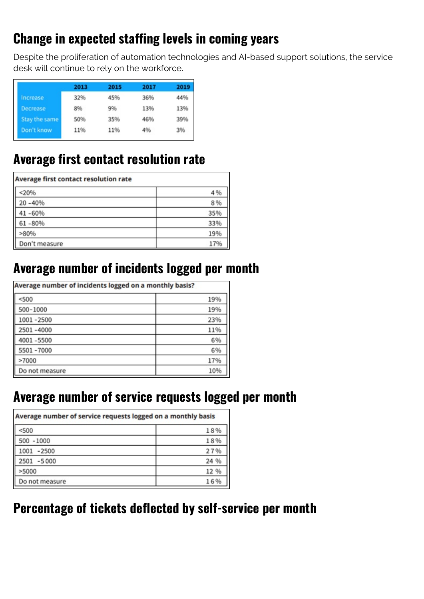#### **Change in expected staffing levels in coming years**

Despite the proliferation of automation technologies and AI-based support solutions, the service desk will continue to rely on the workforce.

|                 | 2013 | 2015 | 2017 | 2019 |
|-----------------|------|------|------|------|
| Increase        | 32%  | 45%  | 36%  | 44%  |
| <b>Decrease</b> | 8%   | 9%   | 13%  | 13%  |
| Stay the same   | 50%  | 35%  | 46%  | 39%  |
| Don't know      | 11%  | 11%  | 4%   | 3%   |

#### **Average first contact resolution rate**

| Average first contact resolution rate |     |
|---------------------------------------|-----|
| < 20%                                 | 4%  |
| $20 - 40%$                            | 8%  |
| 41-60%                                | 35% |
| $61 - 80%$                            | 33% |
| >80%                                  | 19% |
| Don't measure                         | 17% |

#### **Average number of incidents logged per month**

| Average number of incidents logged on a monthly basis? |     |  |
|--------------------------------------------------------|-----|--|
| < 500                                                  | 19% |  |
| 500-1000                                               | 19% |  |
| 1001-2500                                              | 23% |  |
| 2501-4000                                              | 11% |  |
| 4001-5500                                              | 6%  |  |
| 5501-7000                                              | 6%  |  |
| >7000                                                  | 17% |  |
| Do not measure                                         | 10% |  |

#### **Average number of service requests logged per month**

| Average number of service requests logged on a monthly basis |      |  |
|--------------------------------------------------------------|------|--|
| < 500                                                        | 18%  |  |
| $500 - 1000$                                                 | 18%  |  |
| 1001<br>$-2500$                                              | 27%  |  |
| 2501 -5000                                                   | 24 % |  |
| >5000                                                        | 12 % |  |
| Do not measure                                               | 16%  |  |

#### **Percentage of tickets deflected by self-service per month**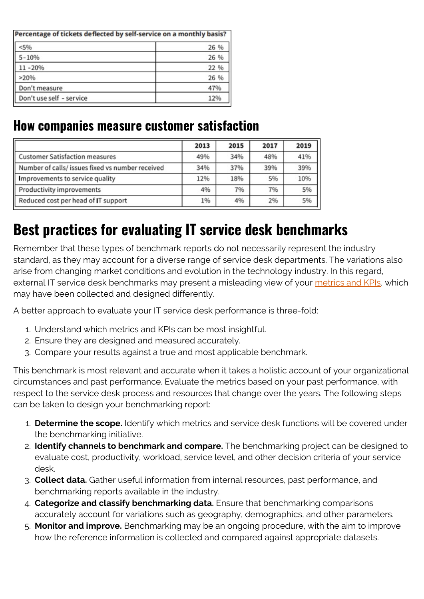| Percentage of tickets deflected by self-service on a monthly basis? |      |  |
|---------------------------------------------------------------------|------|--|
| < 5%                                                                | 26 % |  |
| $5 - 10%$                                                           | 26 % |  |
| 11-20%                                                              | 22 % |  |
| >20%                                                                | 26 % |  |
| Don't measure                                                       | 47%  |  |
| Don't use self - service                                            | 12%  |  |

#### **How companies measure customer satisfaction**

|                                                  | 2013 | 2015 | 2017 | 2019 |
|--------------------------------------------------|------|------|------|------|
| Customer Satisfaction measures                   | 49%  | 34%  | 48%  | 41%  |
| Number of calls/ issues fixed vs number received | 34%  | 37%  | 39%  | 39%  |
| Improvements to service quality                  | 12%  | 18%  | 5%   | 10%  |
| Productivity improvements                        | 4%   | 7%   | 7%   | 5%   |
| Reduced cost per head of IT support              | 1%   | 4%   | 2%   | 5%   |

### **Best practices for evaluating IT service desk benchmarks**

Remember that these types of benchmark reports do not necessarily represent the industry standard, as they may account for a diverse range of service desk departments. The variations also arise from changing market conditions and evolution in the technology industry. In this regard, external IT service desk benchmarks may present a misleading view of your [metrics and KPIs,](https://blogs.bmc.com/blogs/itsm-kpis-metrics-success/) which may have been collected and designed differently.

A better approach to evaluate your IT service desk performance is three-fold:

- 1. Understand which metrics and KPIs can be most insightful.
- 2. Ensure they are designed and measured accurately.
- 3. Compare your results against a true and most applicable benchmark.

This benchmark is most relevant and accurate when it takes a holistic account of your organizational circumstances and past performance. Evaluate the metrics based on your past performance, with respect to the service desk process and resources that change over the years. The following steps can be taken to design your benchmarking report:

- 1. **Determine the scope.** Identify which metrics and service desk functions will be covered under the benchmarking initiative.
- 2. **Identify channels to benchmark and compare.** The benchmarking project can be designed to evaluate cost, productivity, workload, service level, and other decision criteria of your service desk.
- 3. **Collect data.** Gather useful information from internal resources, past performance, and benchmarking reports available in the industry.
- 4. **Categorize and classify benchmarking data.** Ensure that benchmarking comparisons accurately account for variations such as geography, demographics, and other parameters.
- 5. **Monitor and improve.** Benchmarking may be an ongoing procedure, with the aim to improve how the reference information is collected and compared against appropriate datasets.